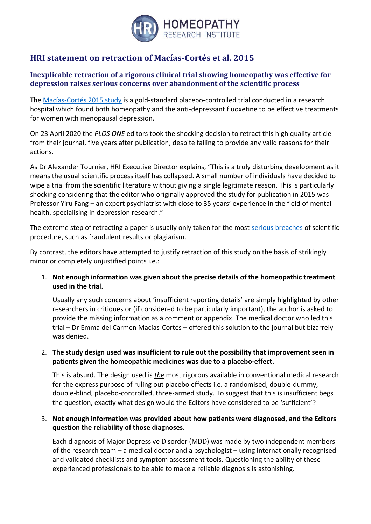

# **HRI statement on retraction of Macías-Cortés et al. 2015**

## **Inexplicable retraction of a rigorous clinical trial showing homeopathy was effective for depression raises serious concerns over abandonment of the scientific process**

The [Macías-Cortés 2015 study](https://www.ncbi.nlm.nih.gov/pubmed/25768800) is a gold-standard placebo-controlled trial conducted in a research hospital which found both homeopathy and the anti-depressant fluoxetine to be effective treatments for women with menopausal depression.

On 23 April 2020 the *PLOS ONE* editors took the shocking decision to retract this high quality article from their journal, five years after publication, despite failing to provide any valid reasons for their actions.

As Dr Alexander Tournier, HRI Executive Director explains, "This is a truly disturbing development as it means the usual scientific process itself has collapsed. A small number of individuals have decided to wipe a trial from the scientific literature without giving a single legitimate reason. This is particularly shocking considering that the editor who originally approved the study for publication in 2015 was Professor Yiru Fang – an expert psychiatrist with close to 35 years' experience in the field of mental health, specialising in depression research."

The extreme step of retracting a paper is usually only taken for the most [serious breaches](https://publicationethics.org/retraction-guidelines) of scientific procedure, such as fraudulent results or plagiarism.

By contrast, the editors have attempted to justify retraction of this study on the basis of strikingly minor or completely unjustified points i.e.:

1. **Not enough information was given about the precise details of the homeopathic treatment used in the trial.**

Usually any such concerns about 'insufficient reporting details' are simply highlighted by other researchers in critiques or (if considered to be particularly important), the author is asked to provide the missing information as a comment or appendix. The medical doctor who led this trial – Dr Emma del Carmen Macías-Cortés – offered this solution to the journal but bizarrely was denied.

2. **The study design used was insufficient to rule out the possibility that improvement seen in patients given the homeopathic medicines was due to a placebo-effect.**

This is absurd. The design used is *the* most rigorous available in conventional medical research for the express purpose of ruling out placebo effects i.e. a randomised, double-dummy, double-blind, placebo-controlled, three-armed study. To suggest that this is insufficient begs the question, exactly what design would the Editors have considered to be 'sufficient'?

## 3. **Not enough information was provided about how patients were diagnosed, and the Editors question the reliability of those diagnoses.**

Each diagnosis of Major Depressive Disorder (MDD) was made by two independent members of the research team – a medical doctor and a psychologist – using internationally recognised and validated checklists and symptom assessment tools. Questioning the ability of these experienced professionals to be able to make a reliable diagnosis is astonishing.